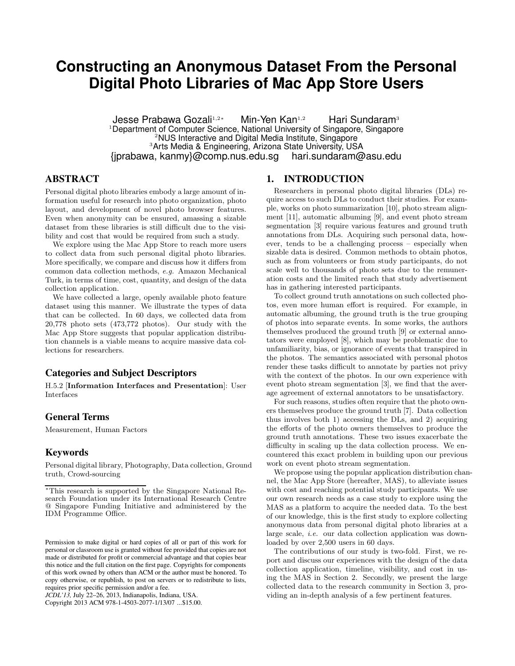# **Constructing an Anonymous Dataset From the Personal Digital Photo Libraries of Mac App Store Users**

Jesse Prabawa Gozali<sup>1,2∗</sup> Min-Yen Kan<sup>1,2</sup> Hari Sundaram<sup>3</sup> <sup>1</sup>Department of Computer Science, National University of Singapore, Singapore<br><sup>2</sup>NUS Interactive and Digital Media Institute, Singapore<sup>3</sup><br><sup>3</sup>Arts Media & Engineering, Arizona State University, USA {jprabawa, kanmy}@comp.nus.edu.sg hari.sundaram@asu.edu

# ABSTRACT

Personal digital photo libraries embody a large amount of information useful for research into photo organization, photo layout, and development of novel photo browser features. Even when anonymity can be ensured, amassing a sizable dataset from these libraries is still difficult due to the visibility and cost that would be required from such a study.

We explore using the Mac App Store to reach more users to collect data from such personal digital photo libraries. More specifically, we compare and discuss how it differs from common data collection methods, e.g. Amazon Mechanical Turk, in terms of time, cost, quantity, and design of the data collection application.

We have collected a large, openly available photo feature dataset using this manner. We illustrate the types of data that can be collected. In 60 days, we collected data from 20,778 photo sets (473,772 photos). Our study with the Mac App Store suggests that popular application distribution channels is a viable means to acquire massive data collections for researchers.

# Categories and Subject Descriptors

H.5.2 [Information Interfaces and Presentation]: User Interfaces

# General Terms

Measurement, Human Factors

#### Keywords

Personal digital library, Photography, Data collection, Ground truth, Crowd-sourcing

Copyright 2013 ACM 978-1-4503-2077-1/13/07 ...\$15.00.

#### 1. INTRODUCTION

Researchers in personal photo digital libraries (DLs) require access to such DLs to conduct their studies. For example, works on photo summarization [10], photo stream alignment [11], automatic albuming [9], and event photo stream segmentation [3] require various features and ground truth annotations from DLs. Acquiring such personal data, however, tends to be a challenging process – especially when sizable data is desired. Common methods to obtain photos, such as from volunteers or from study participants, do not scale well to thousands of photo sets due to the remuneration costs and the limited reach that study advertisement has in gathering interested participants.

To collect ground truth annotations on such collected photos, even more human effort is required. For example, in automatic albuming, the ground truth is the true grouping of photos into separate events. In some works, the authors themselves produced the ground truth [9] or external annotators were employed [8], which may be problematic due to unfamiliarity, bias, or ignorance of events that transpired in the photos. The semantics associated with personal photos render these tasks difficult to annotate by parties not privy with the context of the photos. In our own experience with event photo stream segmentation [3], we find that the average agreement of external annotators to be unsatisfactory.

For such reasons, studies often require that the photo owners themselves produce the ground truth [7]. Data collection thus involves both 1) accessing the DLs, and 2) acquiring the efforts of the photo owners themselves to produce the ground truth annotations. These two issues exacerbate the difficulty in scaling up the data collection process. We encountered this exact problem in building upon our previous work on event photo stream segmentation.

We propose using the popular application distribution channel, the Mac App Store (hereafter, MAS), to alleviate issues with cost and reaching potential study participants. We use our own research needs as a case study to explore using the MAS as a platform to acquire the needed data. To the best of our knowledge, this is the first study to explore collecting anonymous data from personal digital photo libraries at a large scale, i.e. our data collection application was downloaded by over 2,500 users in 60 days.

The contributions of our study is two-fold. First, we report and discuss our experiences with the design of the data collection application, timeline, visibility, and cost in using the MAS in Section 2. Secondly, we present the large collected data to the research community in Section 3, providing an in-depth analysis of a few pertinent features.

<sup>∗</sup>This research is supported by the Singapore National Research Foundation under its International Research Centre @ Singapore Funding Initiative and administered by the IDM Programme Office.

Permission to make digital or hard copies of all or part of this work for personal or classroom use is granted without fee provided that copies are not made or distributed for profit or commercial advantage and that copies bear this notice and the full citation on the first page. Copyrights for components of this work owned by others than ACM or the author must be honored. To copy otherwise, or republish, to post on servers or to redistribute to lists, requires prior specific permission and/or a fee.

*JCDL'13,* July 22–26, 2013, Indianapolis, Indiana, USA.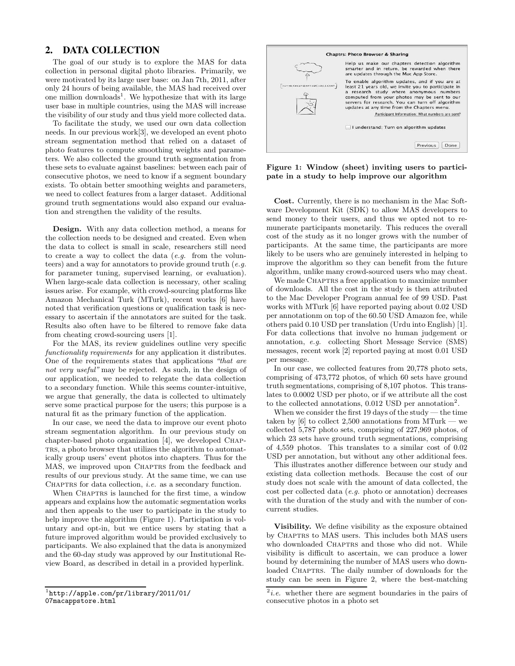# 2. DATA COLLECTION

The goal of our study is to explore the MAS for data collection in personal digital photo libraries. Primarily, we were motivated by its large user base: on Jan 7th, 2011, after only 24 hours of being available, the MAS had received over one million downloads<sup>1</sup>. We hypothesize that with its large user base in multiple countries, using the MAS will increase the visibility of our study and thus yield more collected data.

To facilitate the study, we used our own data collection needs. In our previous work[3], we developed an event photo stream segmentation method that relied on a dataset of photo features to compute smoothing weights and parameters. We also collected the ground truth segmentation from these sets to evaluate against baselines: between each pair of consecutive photos, we need to know if a segment boundary exists. To obtain better smoothing weights and parameters, we need to collect features from a larger dataset. Additional ground truth segmentations would also expand our evaluation and strengthen the validity of the results.

Design. With any data collection method, a means for the collection needs to be designed and created. Even when the data to collect is small in scale, researchers still need to create a way to collect the data  $(e.q.$  from the volunteers) and a way for annotators to provide ground truth  $(e.g.,)$ for parameter tuning, supervised learning, or evaluation). When large-scale data collection is necessary, other scaling issues arise. For example, with crowd-sourcing platforms like Amazon Mechanical Turk (MTurk), recent works [6] have noted that verification questions or qualification task is necessary to ascertain if the annotators are suited for the task. Results also often have to be filtered to remove fake data from cheating crowd-sourcing users [1].

For the MAS, its review guidelines outline very specific functionality requirements for any application it distributes. One of the requirements states that applications "that are not very useful" may be rejected. As such, in the design of our application, we needed to relegate the data collection to a secondary function. While this seems counter-intuitive, we argue that generally, the data is collected to ultimately serve some practical purpose for the users; this purpose is a natural fit as the primary function of the application.

In our case, we need the data to improve our event photo stream segmentation algorithm. In our previous study on chapter-based photo organization [4], we developed Chaptrs, a photo browser that utilizes the algorithm to automatically group users' event photos into chapters. Thus for the MAS, we improved upon CHAPTRS from the feedback and results of our previous study. At the same time, we can use CHAPTRS for data collection, *i.e.* as a secondary function.

When CHAPTRS is launched for the first time, a window appears and explains how the automatic segmentation works and then appeals to the user to participate in the study to help improve the algorithm (Figure 1). Participation is voluntary and opt-in, but we entice users by stating that a future improved algorithm would be provided exclusively to participants. We also explained that the data is anonymized and the 60-day study was approved by our Institutional Review Board, as described in detail in a provided hyperlink.



Figure 1: Window (sheet) inviting users to participate in a study to help improve our algorithm

Cost. Currently, there is no mechanism in the Mac Software Development Kit (SDK) to allow MAS developers to send money to their users, and thus we opted not to remunerate participants monetarily. This reduces the overall cost of the study as it no longer grows with the number of participants. At the same time, the participants are more likely to be users who are genuinely interested in helping to improve the algorithm so they can benefit from the future algorithm, unlike many crowd-sourced users who may cheat.

We made CHAPTRS a free application to maximize number of downloads. All the cost in the study is then attributed to the Mac Developer Program annual fee of 99 USD. Past works with MTurk [6] have reported paying about 0.02 USD per annotationm on top of the 60.50 USD Amazon fee, while others paid 0.10 USD per translation (Urdu into English) [1]. For data collections that involve no human judgement or annotation, e.g. collecting Short Message Service (SMS) messages, recent work [2] reported paying at most 0.01 USD per message.

In our case, we collected features from 20,778 photo sets, comprising of 473,772 photos, of which 60 sets have ground truth segmentations, comprising of 8,107 photos. This translates to 0.0002 USD per photo, or if we attribute all the cost to the collected annotations, 0.012 USD per annotation<sup>2</sup>.

When we consider the first 19 days of the study — the time taken by  $[6]$  to collect 2,500 annotations from MTurk — we collected 5,787 photo sets, comprising of 227,969 photos, of which 23 sets have ground truth segmentations, comprising of 4,559 photos. This translates to a similar cost of 0.02 USD per annotation, but without any other additional fees.

This illustrates another difference between our study and existing data collection methods. Because the cost of our study does not scale with the amount of data collected, the cost per collected data (e.g. photo or annotation) decreases with the duration of the study and with the number of concurrent studies.

Visibility. We define visibility as the exposure obtained by CHAPTRS to MAS users. This includes both MAS users who downloaded CHAPTRS and those who did not. While visibility is difficult to ascertain, we can produce a lower bound by determining the number of MAS users who downloaded CHAPTRS. The daily number of downloads for the study can be seen in Figure 2, where the best-matching

 $1$ http://apple.com/pr/library/2011/01/ 07macappstore.html

 $z^2$ *i.e.* whether there are segment boundaries in the pairs of consecutive photos in a photo set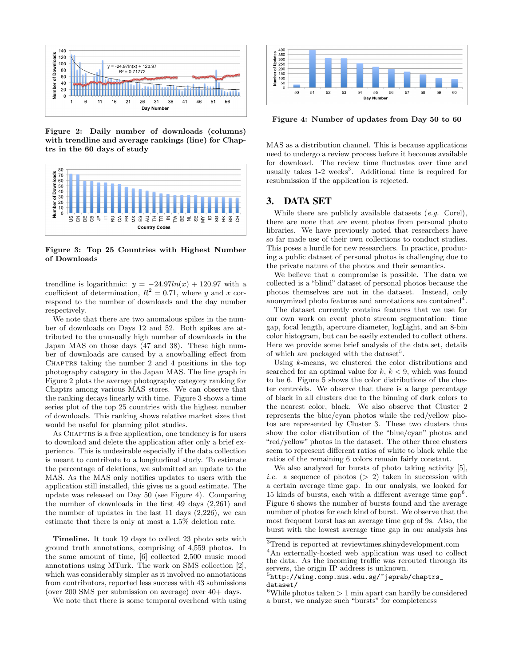

Figure 2: Daily number of downloads (columns) with trendline and average rankings (line) for Chaptrs in the 60 days of study



Figure 3: Top 25 Countries with Highest Number of Downloads

trendline is logarithmic:  $y = -24.97ln(x) + 120.97$  with a coefficient of determination,  $R^2 = 0.71$ , where y and x correspond to the number of downloads and the day number respectively.

We note that there are two anomalous spikes in the number of downloads on Days 12 and 52. Both spikes are attributed to the unusually high number of downloads in the Japan MAS on those days (47 and 38). These high number of downloads are caused by a snowballing effect from CHAPTRS taking the number 2 and 4 positions in the top photography category in the Japan MAS. The line graph in Figure 2 plots the average photography category ranking for Chaptrs among various MAS stores. We can observe that the ranking decays linearly with time. Figure 3 shows a time series plot of the top 25 countries with the highest number of downloads. This ranking shows relative market sizes that would be useful for planning pilot studies.

As CHAPTRS is a free application, one tendency is for users to download and delete the application after only a brief experience. This is undesirable especially if the data collection is meant to contribute to a longitudinal study. To estimate the percentage of deletions, we submitted an update to the MAS. As the MAS only notifies updates to users with the application still installed, this gives us a good estimate. The update was released on Day 50 (see Figure 4). Comparing the number of downloads in the first 49 days (2,261) and the number of updates in the last 11 days (2,226), we can estimate that there is only at most a 1.5% deletion rate.

Timeline. It took 19 days to collect 23 photo sets with ground truth annotations, comprising of 4,559 photos. In the same amount of time, [6] collected 2,500 music mood annotations using MTurk. The work on SMS collection [2], which was considerably simpler as it involved no annotations from contributors, reported less success with 43 submissions (over 200 SMS per submission on average) over 40+ days.

We note that there is some temporal overhead with using



Figure 4: Number of updates from Day 50 to 60

MAS as a distribution channel. This is because applications need to undergo a review process before it becomes available for download. The review time fluctuates over time and usually takes  $1-2$  weeks<sup>3</sup>. Additional time is required for resubmission if the application is rejected.

# 3. DATA SET

While there are publicly available datasets  $(e,q. \text{ Core}l)$ , there are none that are event photos from personal photo libraries. We have previously noted that researchers have so far made use of their own collections to conduct studies. This poses a hurdle for new researchers. In practice, producing a public dataset of personal photos is challenging due to the private nature of the photos and their semantics.

We believe that a compromise is possible. The data we collected is a "blind" dataset of personal photos because the photos themselves are not in the dataset. Instead, only anonymized photo features and annotations are contained<sup>4</sup>.

The dataset currently contains features that we use for our own work on event photo stream segmentation: time gap, focal length, aperture diameter, logLight, and an 8-bin color histogram, but can be easily extended to collect others. Here we provide some brief analysis of the data set, details of which are packaged with the dataset<sup>5</sup>.

Using k-means, we clustered the color distributions and searched for an optimal value for  $k, k < 9$ , which was found to be 6. Figure 5 shows the color distributions of the cluster centroids. We observe that there is a large percentage of black in all clusters due to the binning of dark colors to the nearest color, black. We also observe that Cluster 2 represents the blue/cyan photos while the red/yellow photos are represented by Cluster 3. These two clusters thus show the color distribution of the "blue/cyan" photos and "red/yellow" photos in the dataset. The other three clusters seem to represent different ratios of white to black while the ratios of the remaining 6 colors remain fairly constant.

We also analyzed for bursts of photo taking activity [5], *i.e.* a sequence of photos  $(> 2)$  taken in succession with a certain average time gap. In our analysis, we looked for 15 kinds of bursts, each with a different average time  $\text{gap}^6$ . Figure 6 shows the number of bursts found and the average number of photos for each kind of burst. We observe that the most frequent burst has an average time gap of 9s. Also, the burst with the lowest average time gap in our analysis has

 ${\rm ^3Trend}$  is reported at reviewtimes.shinydevelopment.com <sup>4</sup>An externally-hosted web application was used to collect

the data. As the incoming traffic was rerouted through its servers, the origin IP address is unknown.

 $5$ http://wing.comp.nus.edu.sg/~jeprab/chaptrs\_ dataset/

<sup>&</sup>lt;sup>6</sup>While photos taken  $> 1$  min apart can hardly be considered a burst, we analyze such "bursts" for completeness